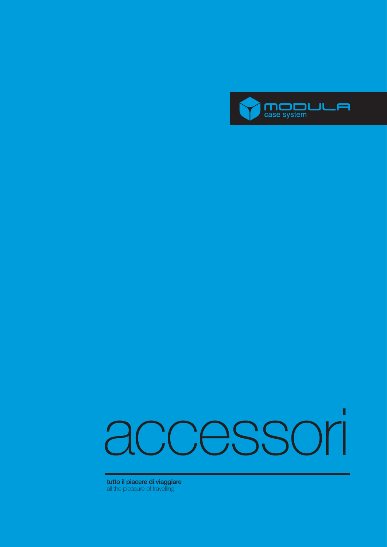

# Π **tutto il piacere di viaggiare**<br>all the pleasure of travelling<br>**accessories** of travelling

**tutto il piacere di viaggiare**  all the pleasure of travelling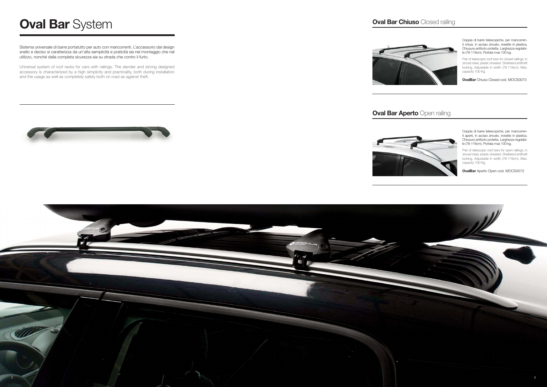Coppia di barre telescopiche, per mancorrenti chiusi, in acciao zincato, rivestite in plastica. Chiusura antifurto protetta. Larghezza regolabile (78-119cm). Portata max 100 kg.

Pair of telescopic roof bars for closed railings, in zinced steel, plastic sheated. Sheltered antitheft locking. Adjustable in width (78-119cm). Max. capacity 100 Kg.

**OvalBar** Chiuso Closed cod. MOCS0073

Coppia di barre telescopiche, per mancorrenti aperti, in acciao zincato, rivestite in plastica. Chiusura antifurto protetta. Larghezza regolabile (78-119cm). Portata max 100 kg.

Pair of telescopic roof bars for open railings, in zinced steel, plastic sheated. Sheltered antitheft locking. Adjustable in width (78-119cm). Max. capacity 100 Kg.

**OvalBar** Aperto Open cod. MOCS0072



Sistema universale di barre portatutto per auto con mancorrenti. L'accessorio dal design snello e deciso si caratterizza da un'alta semplicità e praticità sia nel montaggio che nel utilizzo, nonché dalla completa sicurezza sia su strada che contro il furto.

Universal system of roof racks for cars with railings. The slender and strong designed accessory is characterized by a high simplicity and practicality, both during installation and the usage as well as completely safety both on road as against theft.



#### **Oval Bar Aperto Open railing**





# **Oval Bar** System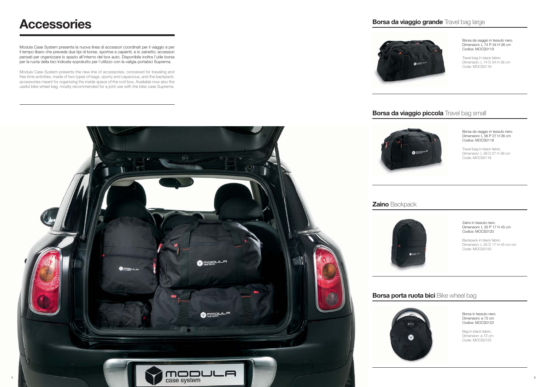Borsa da viaggio in tessuto nero. Dimensioni: L 74 P 34 H 38 cm Codice: MOCS0119

Travel bag in black fabric. Dimension: L 74 D 34 H 38 cm Code: MOCS0119

## **Borsa da viaggio piccola** Travel bag small



Borsa da viaggio in tessuto nero. Dimensioni: L 56 P 27 H 36 cm Codice: MOCS0118

Travel bag in black fabric. Dimension: L 56 D 27 H 36 cm Code: MOCS0118

Zaino in tessuto nero. Dimensioni: L 35 P 17 H 45 cm Codice: MOCS0120

Backpack in black fabric. Dimension: L 35 D 17 H 45 cm cm Code: MOCS0120

Borsa in tessuto nero. Dimensioni: ø 72 cm Codice: MOCS0123

Bag in black fabric. Dimension: ø 72 cm Code: MOCS0123

## **Zaino** Backpack



## **Borsa porta ruota bici** Bike wheel bag







Modula Case System presenta la nuova linea di accessori coordinati per il viaggio e per il tempo libero che prevede due tipi di borse, sportive e capienti, e lo zainetto; accessori pensati per organizzare lo spazio all'interno del box auto. Disponibile inoltra l'utile borsa per la ruota della bici indicata sopratutto per l'utilizzo con la valigia portabici Suprema.

Modula Case System presents the new line of accessories, conceived for traveling and free time activities, made of two types of bags, sporty and capacious, and the backpack; accessories meant for organizing the inside space of the roof box. Available now also the useful bike wheel bag, mostly recommended for a joint use with the bike case Suprema.



# **Accessories**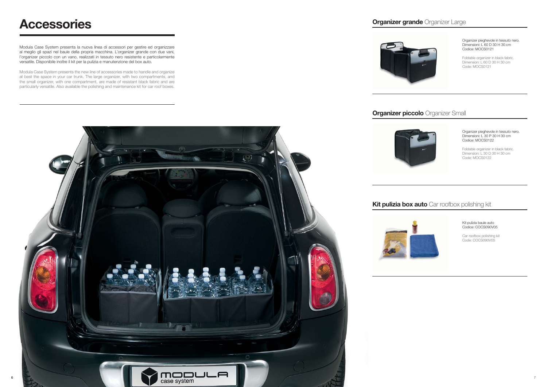

Organizer pieghevole in tessuto nero. Dimensioni: L 60 D 30 H 30 cm Codice: MOCS0121

Foldable organizer in black fabric. Dimension: L 60 D 30 H 30 cm Code: MOCS0121

## **Organizer piccolo** Organizer Small

Car roofbox polishing kit Code: COCS090V05

Organizer pieghevole in tessuto nero. Dimensioni: L 30 P 30 H 30 cm Codice: MOCS0122

Foldable organizer in black fabric. Dimension: L 30 D 30 H 30 cm Code: MOCS0122

## **Kit pulizia box auto** Car roofbox polishing kit

Kit pulizia baule auto Codice: COCS090V05

Modula Case System presenta la nuova linea di accessori per gestire ed organizzare al meglio gli spazi nel baule della propria macchina. L'organizer grande con due vani, l'organizer piccolo con un vano, realizzati in tessuto nero resistente e particolarmente versatile. Disponibile inoltre il kit per la pulizia e manutenzione del box auto.

Modula Case System presents the new line of accessories made to handle and organize at best the space in your car trunk. The large organizer, with two compartments, and the small organizer, with one compartment, are made of resistant black fabric and are particularly versatile. Also available the polishing and maintenance kit for car roof boxes.







## **Accessories**